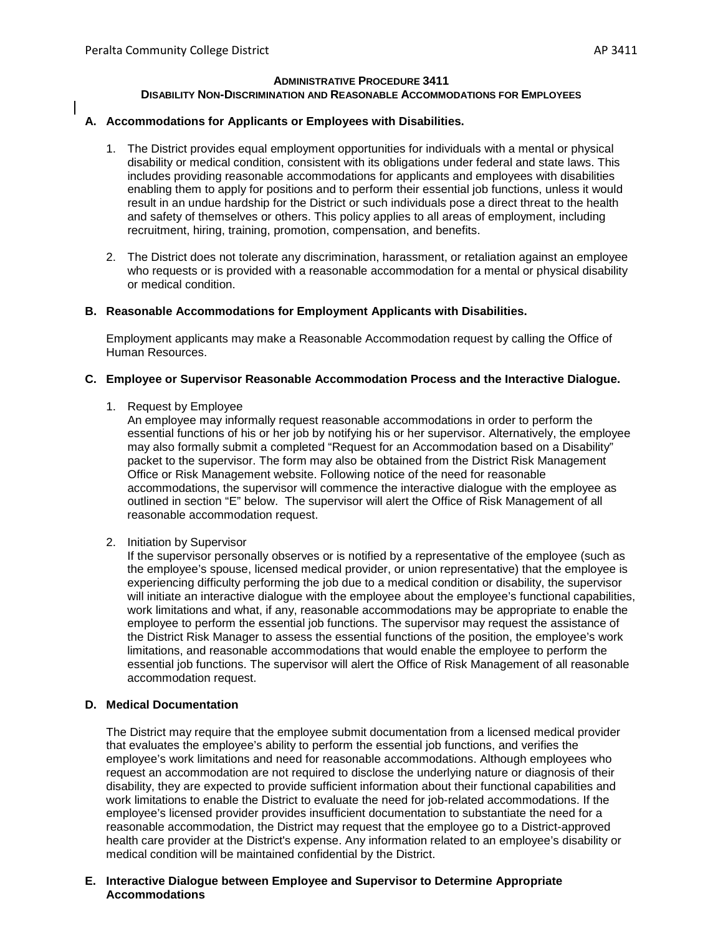#### **ADMINISTRATIVE PROCEDURE 3411 DISABILITY NON-DISCRIMINATION AND REASONABLE ACCOMMODATIONS FOR EMPLOYEES**

# **A. Accommodations for Applicants or Employees with Disabilities.**

- 1. The District provides equal employment opportunities for individuals with a mental or physical disability or medical condition, consistent with its obligations under federal and state laws. This includes providing reasonable accommodations for applicants and employees with disabilities enabling them to apply for positions and to perform their essential job functions, unless it would result in an undue hardship for the District or such individuals pose a direct threat to the health and safety of themselves or others. This policy applies to all areas of employment, including recruitment, hiring, training, promotion, compensation, and benefits.
- 2. The District does not tolerate any discrimination, harassment, or retaliation against an employee who requests or is provided with a reasonable accommodation for a mental or physical disability or medical condition.

# **B. Reasonable Accommodations for Employment Applicants with Disabilities.**

Employment applicants may make a Reasonable Accommodation request by calling the Office of Human Resources.

# **C. Employee or Supervisor Reasonable Accommodation Process and the Interactive Dialogue.**

1. Request by Employee

An employee may informally request reasonable accommodations in order to perform the essential functions of his or her job by notifying his or her supervisor. Alternatively, the employee may also formally submit a completed "Request for an Accommodation based on a Disability" packet to the supervisor. The form may also be obtained from the District Risk Management Office or Risk Management website. Following notice of the need for reasonable accommodations, the supervisor will commence the interactive dialogue with the employee as outlined in section "E" below. The supervisor will alert the Office of Risk Management of all reasonable accommodation request.

2. Initiation by Supervisor

If the supervisor personally observes or is notified by a representative of the employee (such as the employee's spouse, licensed medical provider, or union representative) that the employee is experiencing difficulty performing the job due to a medical condition or disability, the supervisor will initiate an interactive dialogue with the employee about the employee's functional capabilities, work limitations and what, if any, reasonable accommodations may be appropriate to enable the employee to perform the essential job functions. The supervisor may request the assistance of the District Risk Manager to assess the essential functions of the position, the employee's work limitations, and reasonable accommodations that would enable the employee to perform the essential job functions. The supervisor will alert the Office of Risk Management of all reasonable accommodation request.

# **D. Medical Documentation**

The District may require that the employee submit documentation from a licensed medical provider that evaluates the employee's ability to perform the essential job functions, and verifies the employee's work limitations and need for reasonable accommodations. Although employees who request an accommodation are not required to disclose the underlying nature or diagnosis of their disability, they are expected to provide sufficient information about their functional capabilities and work limitations to enable the District to evaluate the need for job-related accommodations. If the employee's licensed provider provides insufficient documentation to substantiate the need for a reasonable accommodation, the District may request that the employee go to a District-approved health care provider at the District's expense. Any information related to an employee's disability or medical condition will be maintained confidential by the District.

#### **E. Interactive Dialogue between Employee and Supervisor to Determine Appropriate Accommodations**